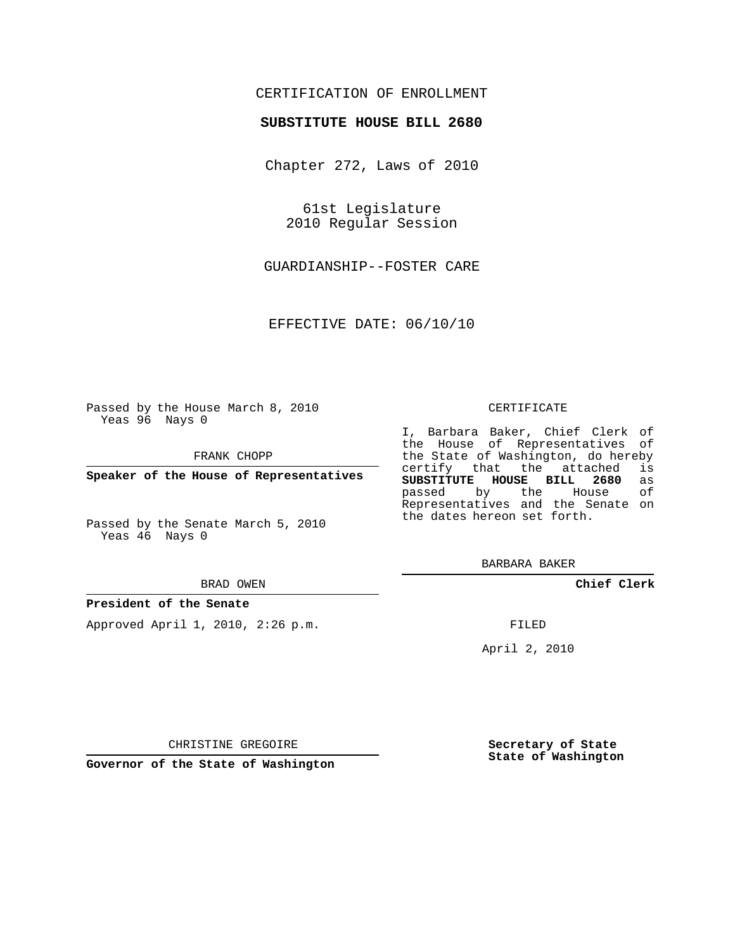## CERTIFICATION OF ENROLLMENT

### **SUBSTITUTE HOUSE BILL 2680**

Chapter 272, Laws of 2010

61st Legislature 2010 Regular Session

GUARDIANSHIP--FOSTER CARE

EFFECTIVE DATE: 06/10/10

Passed by the House March 8, 2010 Yeas 96 Nays 0

FRANK CHOPP

**Speaker of the House of Representatives**

Passed by the Senate March 5, 2010 Yeas 46 Nays 0

#### BRAD OWEN

#### **President of the Senate**

Approved April 1, 2010, 2:26 p.m.

#### CERTIFICATE

I, Barbara Baker, Chief Clerk of the House of Representatives of the State of Washington, do hereby<br>certify that the attached is certify that the attached **SUBSTITUTE HOUSE BILL 2680** as passed by the Representatives and the Senate on the dates hereon set forth.

BARBARA BAKER

**Chief Clerk**

FILED

April 2, 2010

**Secretary of State State of Washington**

CHRISTINE GREGOIRE

**Governor of the State of Washington**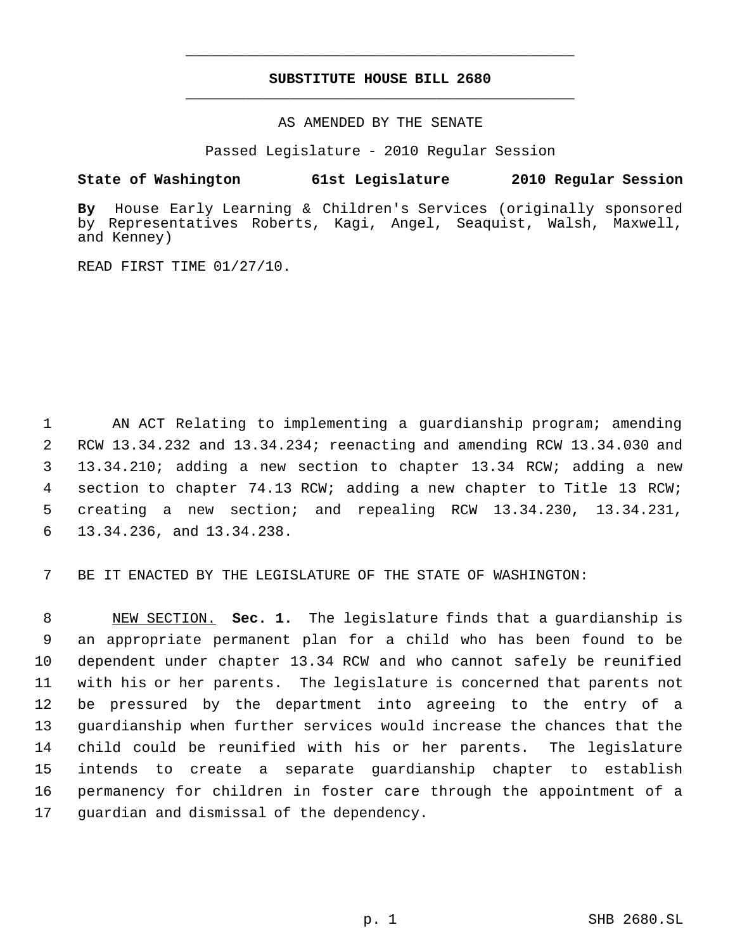# **SUBSTITUTE HOUSE BILL 2680** \_\_\_\_\_\_\_\_\_\_\_\_\_\_\_\_\_\_\_\_\_\_\_\_\_\_\_\_\_\_\_\_\_\_\_\_\_\_\_\_\_\_\_\_\_

\_\_\_\_\_\_\_\_\_\_\_\_\_\_\_\_\_\_\_\_\_\_\_\_\_\_\_\_\_\_\_\_\_\_\_\_\_\_\_\_\_\_\_\_\_

AS AMENDED BY THE SENATE

Passed Legislature - 2010 Regular Session

## **State of Washington 61st Legislature 2010 Regular Session**

**By** House Early Learning & Children's Services (originally sponsored by Representatives Roberts, Kagi, Angel, Seaquist, Walsh, Maxwell, and Kenney)

READ FIRST TIME 01/27/10.

 AN ACT Relating to implementing a guardianship program; amending RCW 13.34.232 and 13.34.234; reenacting and amending RCW 13.34.030 and 13.34.210; adding a new section to chapter 13.34 RCW; adding a new section to chapter 74.13 RCW; adding a new chapter to Title 13 RCW; creating a new section; and repealing RCW 13.34.230, 13.34.231, 13.34.236, and 13.34.238.

BE IT ENACTED BY THE LEGISLATURE OF THE STATE OF WASHINGTON:

 NEW SECTION. **Sec. 1.** The legislature finds that a guardianship is an appropriate permanent plan for a child who has been found to be dependent under chapter 13.34 RCW and who cannot safely be reunified with his or her parents. The legislature is concerned that parents not be pressured by the department into agreeing to the entry of a guardianship when further services would increase the chances that the child could be reunified with his or her parents. The legislature intends to create a separate guardianship chapter to establish permanency for children in foster care through the appointment of a guardian and dismissal of the dependency.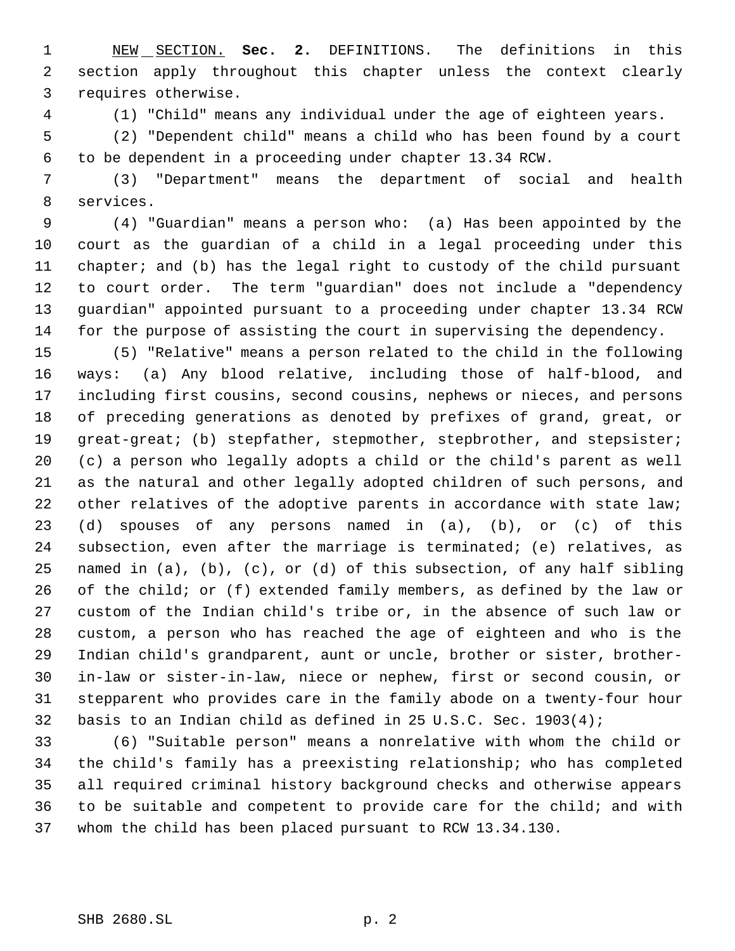NEW SECTION. **Sec. 2.** DEFINITIONS. The definitions in this section apply throughout this chapter unless the context clearly requires otherwise.

(1) "Child" means any individual under the age of eighteen years.

 (2) "Dependent child" means a child who has been found by a court to be dependent in a proceeding under chapter 13.34 RCW.

 (3) "Department" means the department of social and health services.

 (4) "Guardian" means a person who: (a) Has been appointed by the court as the guardian of a child in a legal proceeding under this chapter; and (b) has the legal right to custody of the child pursuant to court order. The term "guardian" does not include a "dependency guardian" appointed pursuant to a proceeding under chapter 13.34 RCW for the purpose of assisting the court in supervising the dependency.

 (5) "Relative" means a person related to the child in the following ways: (a) Any blood relative, including those of half-blood, and including first cousins, second cousins, nephews or nieces, and persons of preceding generations as denoted by prefixes of grand, great, or 19 great-great; (b) stepfather, stepmother, stepbrother, and stepsister; (c) a person who legally adopts a child or the child's parent as well as the natural and other legally adopted children of such persons, and 22 other relatives of the adoptive parents in accordance with state law; (d) spouses of any persons named in (a), (b), or (c) of this subsection, even after the marriage is terminated; (e) relatives, as named in (a), (b), (c), or (d) of this subsection, of any half sibling of the child; or (f) extended family members, as defined by the law or custom of the Indian child's tribe or, in the absence of such law or custom, a person who has reached the age of eighteen and who is the Indian child's grandparent, aunt or uncle, brother or sister, brother- in-law or sister-in-law, niece or nephew, first or second cousin, or stepparent who provides care in the family abode on a twenty-four hour basis to an Indian child as defined in 25 U.S.C. Sec. 1903(4);

 (6) "Suitable person" means a nonrelative with whom the child or the child's family has a preexisting relationship; who has completed all required criminal history background checks and otherwise appears to be suitable and competent to provide care for the child; and with whom the child has been placed pursuant to RCW 13.34.130.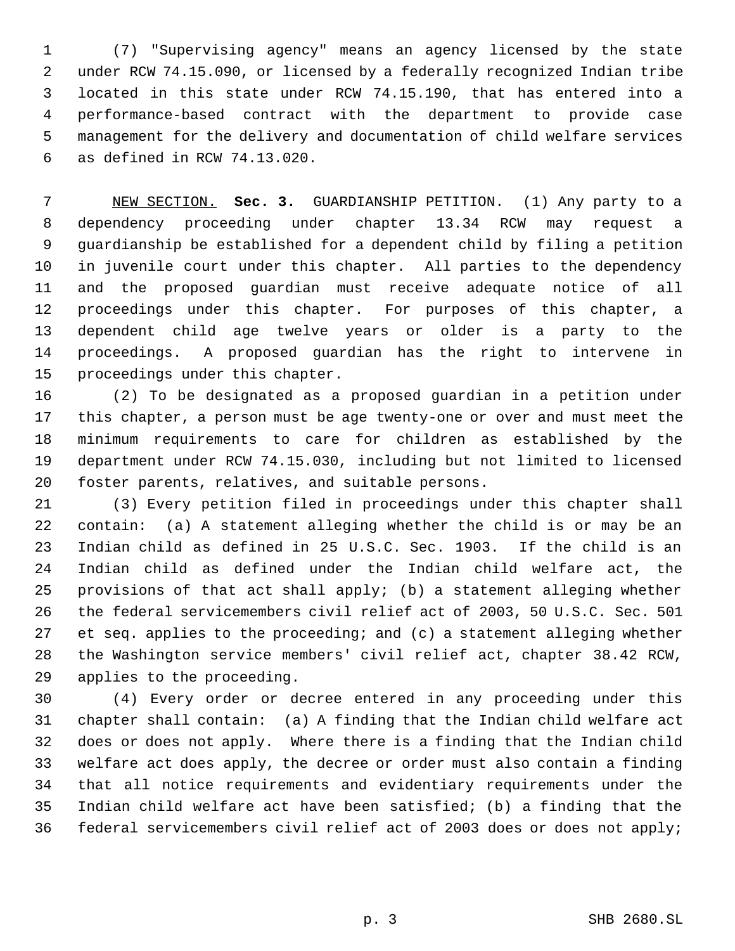(7) "Supervising agency" means an agency licensed by the state under RCW 74.15.090, or licensed by a federally recognized Indian tribe located in this state under RCW 74.15.190, that has entered into a performance-based contract with the department to provide case management for the delivery and documentation of child welfare services as defined in RCW 74.13.020.

 NEW SECTION. **Sec. 3.** GUARDIANSHIP PETITION. (1) Any party to a dependency proceeding under chapter 13.34 RCW may request a guardianship be established for a dependent child by filing a petition in juvenile court under this chapter. All parties to the dependency and the proposed guardian must receive adequate notice of all proceedings under this chapter. For purposes of this chapter, a dependent child age twelve years or older is a party to the proceedings. A proposed guardian has the right to intervene in proceedings under this chapter.

 (2) To be designated as a proposed guardian in a petition under this chapter, a person must be age twenty-one or over and must meet the minimum requirements to care for children as established by the department under RCW 74.15.030, including but not limited to licensed foster parents, relatives, and suitable persons.

 (3) Every petition filed in proceedings under this chapter shall contain: (a) A statement alleging whether the child is or may be an Indian child as defined in 25 U.S.C. Sec. 1903. If the child is an Indian child as defined under the Indian child welfare act, the provisions of that act shall apply; (b) a statement alleging whether the federal servicemembers civil relief act of 2003, 50 U.S.C. Sec. 501 et seq. applies to the proceeding; and (c) a statement alleging whether the Washington service members' civil relief act, chapter 38.42 RCW, applies to the proceeding.

 (4) Every order or decree entered in any proceeding under this chapter shall contain: (a) A finding that the Indian child welfare act does or does not apply. Where there is a finding that the Indian child welfare act does apply, the decree or order must also contain a finding that all notice requirements and evidentiary requirements under the Indian child welfare act have been satisfied; (b) a finding that the federal servicemembers civil relief act of 2003 does or does not apply;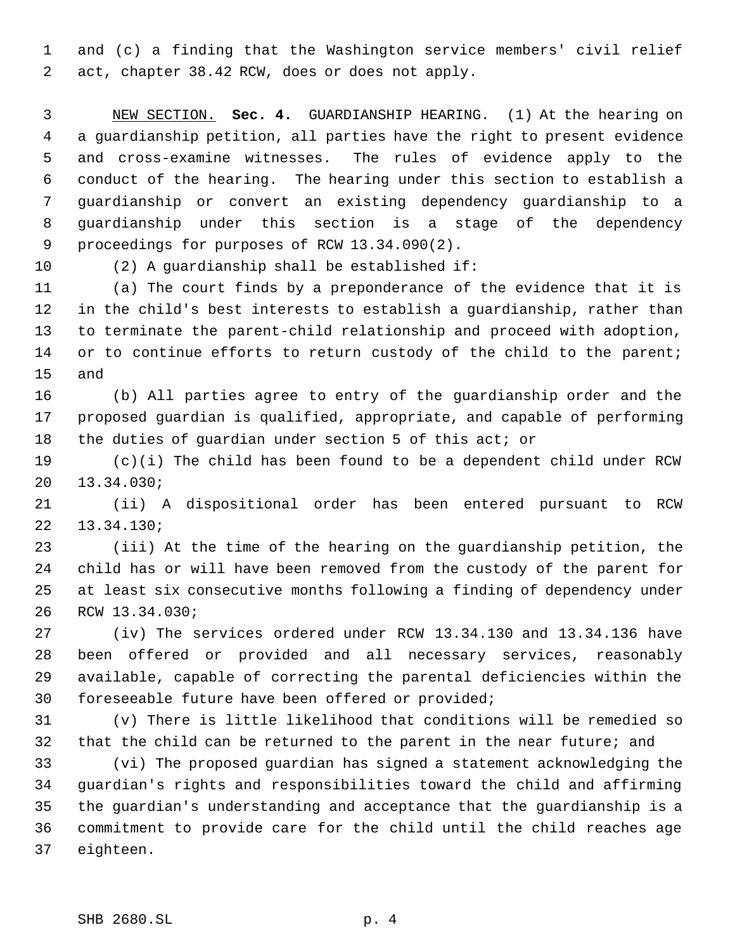and (c) a finding that the Washington service members' civil relief act, chapter 38.42 RCW, does or does not apply.

 NEW SECTION. **Sec. 4.** GUARDIANSHIP HEARING. (1) At the hearing on a guardianship petition, all parties have the right to present evidence and cross-examine witnesses. The rules of evidence apply to the conduct of the hearing. The hearing under this section to establish a guardianship or convert an existing dependency guardianship to a guardianship under this section is a stage of the dependency proceedings for purposes of RCW 13.34.090(2).

(2) A guardianship shall be established if:

 (a) The court finds by a preponderance of the evidence that it is in the child's best interests to establish a guardianship, rather than to terminate the parent-child relationship and proceed with adoption, 14 or to continue efforts to return custody of the child to the parent; and

 (b) All parties agree to entry of the guardianship order and the proposed guardian is qualified, appropriate, and capable of performing 18 the duties of guardian under section 5 of this act; or

 (c)(i) The child has been found to be a dependent child under RCW 13.34.030;

 (ii) A dispositional order has been entered pursuant to RCW 13.34.130;

 (iii) At the time of the hearing on the guardianship petition, the child has or will have been removed from the custody of the parent for at least six consecutive months following a finding of dependency under RCW 13.34.030;

 (iv) The services ordered under RCW 13.34.130 and 13.34.136 have been offered or provided and all necessary services, reasonably available, capable of correcting the parental deficiencies within the foreseeable future have been offered or provided;

 (v) There is little likelihood that conditions will be remedied so that the child can be returned to the parent in the near future; and

 (vi) The proposed guardian has signed a statement acknowledging the guardian's rights and responsibilities toward the child and affirming the guardian's understanding and acceptance that the guardianship is a commitment to provide care for the child until the child reaches age eighteen.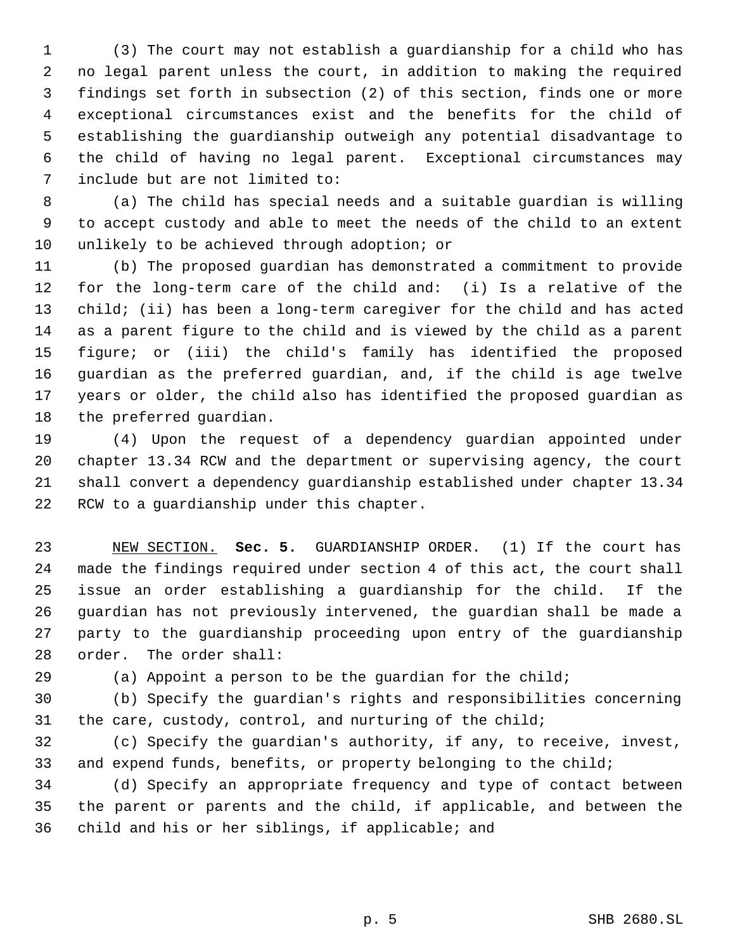(3) The court may not establish a guardianship for a child who has no legal parent unless the court, in addition to making the required findings set forth in subsection (2) of this section, finds one or more exceptional circumstances exist and the benefits for the child of establishing the guardianship outweigh any potential disadvantage to the child of having no legal parent. Exceptional circumstances may include but are not limited to:

 (a) The child has special needs and a suitable guardian is willing to accept custody and able to meet the needs of the child to an extent unlikely to be achieved through adoption; or

 (b) The proposed guardian has demonstrated a commitment to provide for the long-term care of the child and: (i) Is a relative of the child; (ii) has been a long-term caregiver for the child and has acted as a parent figure to the child and is viewed by the child as a parent figure; or (iii) the child's family has identified the proposed guardian as the preferred guardian, and, if the child is age twelve years or older, the child also has identified the proposed guardian as the preferred guardian.

 (4) Upon the request of a dependency guardian appointed under chapter 13.34 RCW and the department or supervising agency, the court shall convert a dependency guardianship established under chapter 13.34 RCW to a guardianship under this chapter.

 NEW SECTION. **Sec. 5.** GUARDIANSHIP ORDER. (1) If the court has made the findings required under section 4 of this act, the court shall issue an order establishing a guardianship for the child. If the guardian has not previously intervened, the guardian shall be made a party to the guardianship proceeding upon entry of the guardianship order. The order shall:

(a) Appoint a person to be the guardian for the child;

 (b) Specify the guardian's rights and responsibilities concerning the care, custody, control, and nurturing of the child;

 (c) Specify the guardian's authority, if any, to receive, invest, and expend funds, benefits, or property belonging to the child;

 (d) Specify an appropriate frequency and type of contact between the parent or parents and the child, if applicable, and between the child and his or her siblings, if applicable; and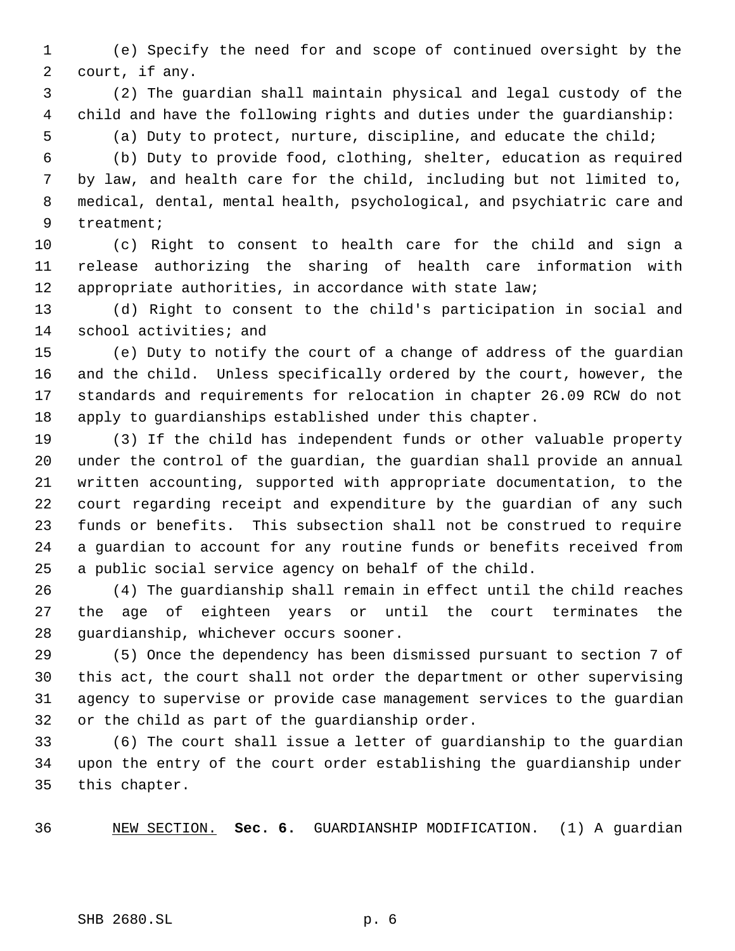(e) Specify the need for and scope of continued oversight by the court, if any.

 (2) The guardian shall maintain physical and legal custody of the child and have the following rights and duties under the guardianship:

 (a) Duty to protect, nurture, discipline, and educate the child; (b) Duty to provide food, clothing, shelter, education as required

 by law, and health care for the child, including but not limited to, medical, dental, mental health, psychological, and psychiatric care and treatment;

 (c) Right to consent to health care for the child and sign a release authorizing the sharing of health care information with appropriate authorities, in accordance with state law;

 (d) Right to consent to the child's participation in social and school activities; and

 (e) Duty to notify the court of a change of address of the guardian and the child. Unless specifically ordered by the court, however, the standards and requirements for relocation in chapter 26.09 RCW do not apply to guardianships established under this chapter.

 (3) If the child has independent funds or other valuable property under the control of the guardian, the guardian shall provide an annual written accounting, supported with appropriate documentation, to the court regarding receipt and expenditure by the guardian of any such funds or benefits. This subsection shall not be construed to require a guardian to account for any routine funds or benefits received from a public social service agency on behalf of the child.

 (4) The guardianship shall remain in effect until the child reaches the age of eighteen years or until the court terminates the guardianship, whichever occurs sooner.

 (5) Once the dependency has been dismissed pursuant to section 7 of this act, the court shall not order the department or other supervising agency to supervise or provide case management services to the guardian or the child as part of the guardianship order.

 (6) The court shall issue a letter of guardianship to the guardian upon the entry of the court order establishing the guardianship under this chapter.

NEW SECTION. **Sec. 6.** GUARDIANSHIP MODIFICATION. (1) A guardian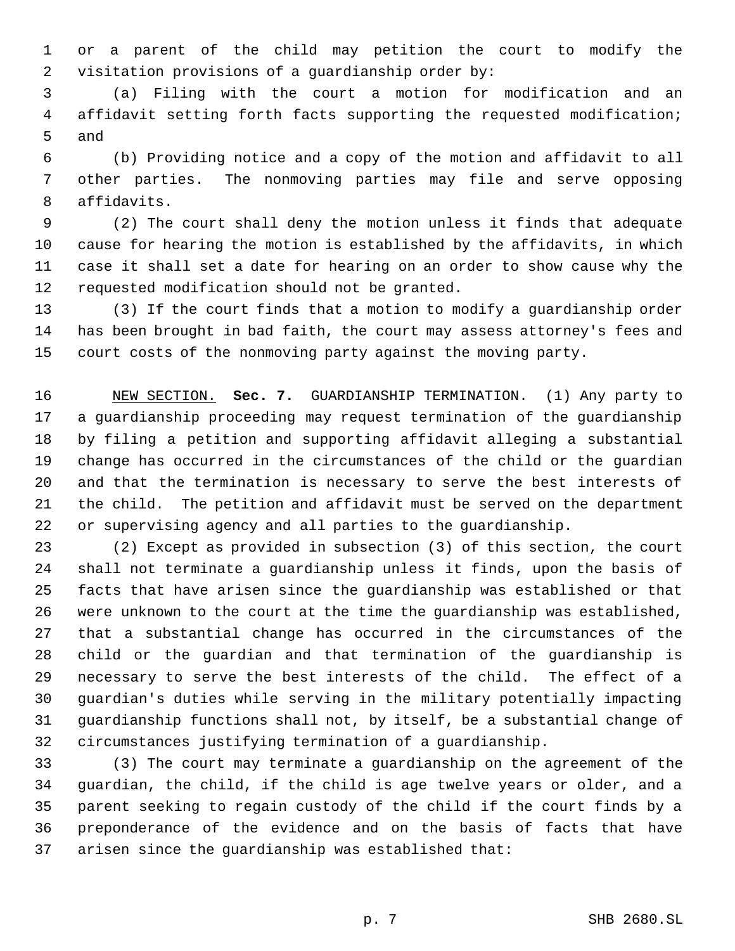or a parent of the child may petition the court to modify the visitation provisions of a guardianship order by:

 (a) Filing with the court a motion for modification and an affidavit setting forth facts supporting the requested modification; and

 (b) Providing notice and a copy of the motion and affidavit to all other parties. The nonmoving parties may file and serve opposing affidavits.

 (2) The court shall deny the motion unless it finds that adequate cause for hearing the motion is established by the affidavits, in which case it shall set a date for hearing on an order to show cause why the requested modification should not be granted.

 (3) If the court finds that a motion to modify a guardianship order has been brought in bad faith, the court may assess attorney's fees and court costs of the nonmoving party against the moving party.

 NEW SECTION. **Sec. 7.** GUARDIANSHIP TERMINATION. (1) Any party to a guardianship proceeding may request termination of the guardianship by filing a petition and supporting affidavit alleging a substantial change has occurred in the circumstances of the child or the guardian and that the termination is necessary to serve the best interests of the child. The petition and affidavit must be served on the department or supervising agency and all parties to the guardianship.

 (2) Except as provided in subsection (3) of this section, the court shall not terminate a guardianship unless it finds, upon the basis of facts that have arisen since the guardianship was established or that were unknown to the court at the time the guardianship was established, that a substantial change has occurred in the circumstances of the child or the guardian and that termination of the guardianship is necessary to serve the best interests of the child. The effect of a guardian's duties while serving in the military potentially impacting guardianship functions shall not, by itself, be a substantial change of circumstances justifying termination of a guardianship.

 (3) The court may terminate a guardianship on the agreement of the guardian, the child, if the child is age twelve years or older, and a parent seeking to regain custody of the child if the court finds by a preponderance of the evidence and on the basis of facts that have arisen since the guardianship was established that: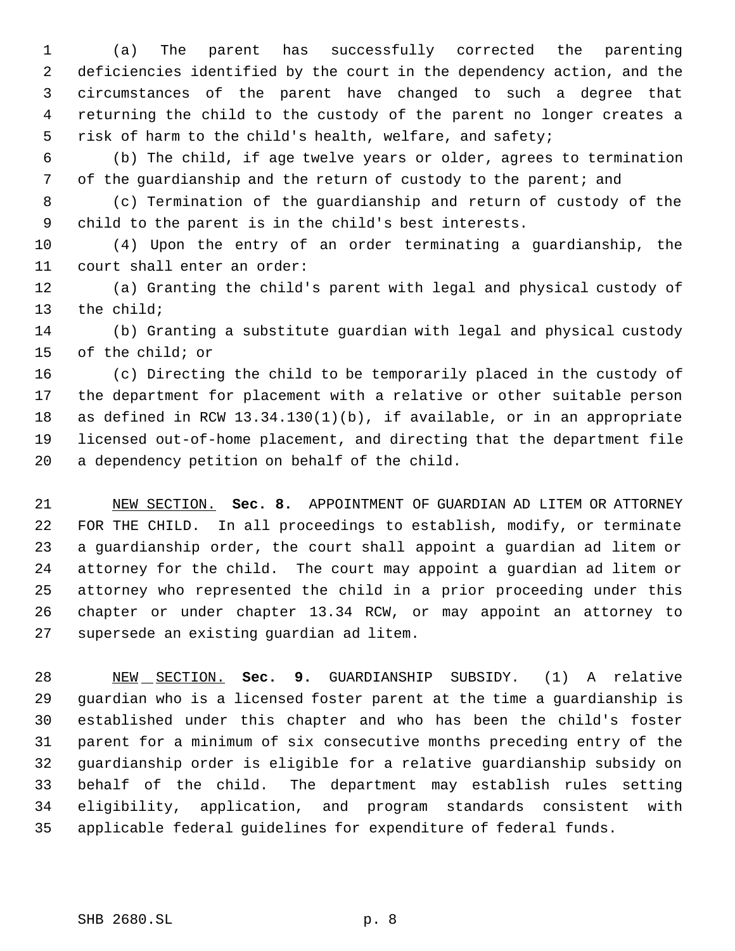(a) The parent has successfully corrected the parenting deficiencies identified by the court in the dependency action, and the circumstances of the parent have changed to such a degree that returning the child to the custody of the parent no longer creates a risk of harm to the child's health, welfare, and safety;

 (b) The child, if age twelve years or older, agrees to termination of the guardianship and the return of custody to the parent; and

 (c) Termination of the guardianship and return of custody of the child to the parent is in the child's best interests.

 (4) Upon the entry of an order terminating a guardianship, the court shall enter an order:

 (a) Granting the child's parent with legal and physical custody of the child;

 (b) Granting a substitute guardian with legal and physical custody of the child; or

 (c) Directing the child to be temporarily placed in the custody of the department for placement with a relative or other suitable person as defined in RCW 13.34.130(1)(b), if available, or in an appropriate licensed out-of-home placement, and directing that the department file a dependency petition on behalf of the child.

 NEW SECTION. **Sec. 8.** APPOINTMENT OF GUARDIAN AD LITEM OR ATTORNEY FOR THE CHILD. In all proceedings to establish, modify, or terminate a guardianship order, the court shall appoint a guardian ad litem or attorney for the child. The court may appoint a guardian ad litem or attorney who represented the child in a prior proceeding under this chapter or under chapter 13.34 RCW, or may appoint an attorney to supersede an existing guardian ad litem.

 NEW SECTION. **Sec. 9.** GUARDIANSHIP SUBSIDY. (1) A relative guardian who is a licensed foster parent at the time a guardianship is established under this chapter and who has been the child's foster parent for a minimum of six consecutive months preceding entry of the guardianship order is eligible for a relative guardianship subsidy on behalf of the child. The department may establish rules setting eligibility, application, and program standards consistent with applicable federal guidelines for expenditure of federal funds.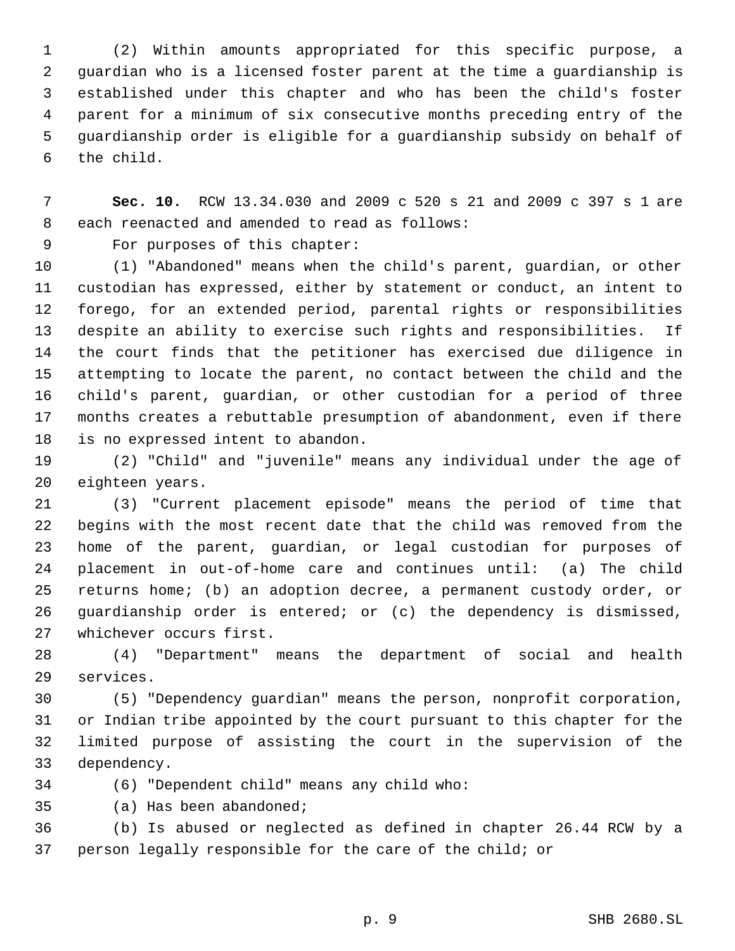(2) Within amounts appropriated for this specific purpose, a guardian who is a licensed foster parent at the time a guardianship is established under this chapter and who has been the child's foster parent for a minimum of six consecutive months preceding entry of the guardianship order is eligible for a guardianship subsidy on behalf of the child.

 **Sec. 10.** RCW 13.34.030 and 2009 c 520 s 21 and 2009 c 397 s 1 are each reenacted and amended to read as follows:

For purposes of this chapter:

 (1) "Abandoned" means when the child's parent, guardian, or other custodian has expressed, either by statement or conduct, an intent to forego, for an extended period, parental rights or responsibilities despite an ability to exercise such rights and responsibilities. If the court finds that the petitioner has exercised due diligence in attempting to locate the parent, no contact between the child and the child's parent, guardian, or other custodian for a period of three months creates a rebuttable presumption of abandonment, even if there is no expressed intent to abandon.

 (2) "Child" and "juvenile" means any individual under the age of eighteen years.

 (3) "Current placement episode" means the period of time that begins with the most recent date that the child was removed from the home of the parent, guardian, or legal custodian for purposes of placement in out-of-home care and continues until: (a) The child returns home; (b) an adoption decree, a permanent custody order, or guardianship order is entered; or (c) the dependency is dismissed, whichever occurs first.

 (4) "Department" means the department of social and health services.

 (5) "Dependency guardian" means the person, nonprofit corporation, or Indian tribe appointed by the court pursuant to this chapter for the limited purpose of assisting the court in the supervision of the dependency.

(6) "Dependent child" means any child who:

(a) Has been abandoned;

 (b) Is abused or neglected as defined in chapter 26.44 RCW by a person legally responsible for the care of the child; or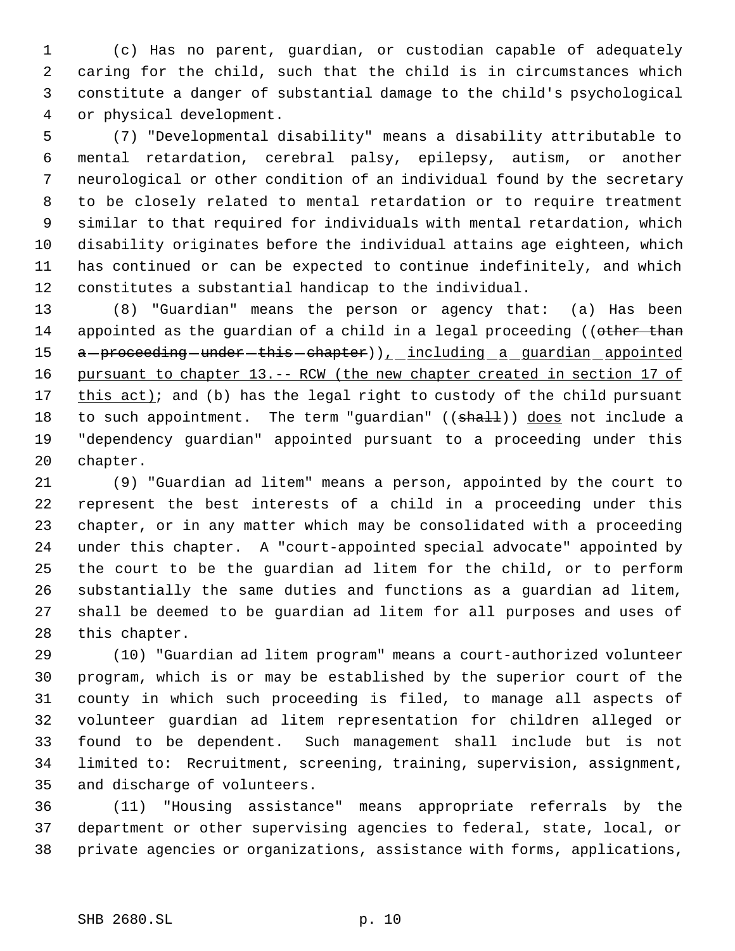(c) Has no parent, guardian, or custodian capable of adequately caring for the child, such that the child is in circumstances which constitute a danger of substantial damage to the child's psychological or physical development.

 (7) "Developmental disability" means a disability attributable to mental retardation, cerebral palsy, epilepsy, autism, or another neurological or other condition of an individual found by the secretary to be closely related to mental retardation or to require treatment similar to that required for individuals with mental retardation, which disability originates before the individual attains age eighteen, which has continued or can be expected to continue indefinitely, and which constitutes a substantial handicap to the individual.

 (8) "Guardian" means the person or agency that: (a) Has been 14 appointed as the guardian of a child in a legal proceeding ((other than 15 a - proceeding - under - this - chapter) ), including a guardian appointed 16 pursuant to chapter 13. -- RCW (the new chapter created in section 17 of 17  $this act$ ; and (b) has the legal right to custody of the child pursuant 18 to such appointment. The term "guardian" ((shall)) does not include a "dependency guardian" appointed pursuant to a proceeding under this chapter.

 (9) "Guardian ad litem" means a person, appointed by the court to represent the best interests of a child in a proceeding under this chapter, or in any matter which may be consolidated with a proceeding under this chapter. A "court-appointed special advocate" appointed by the court to be the guardian ad litem for the child, or to perform substantially the same duties and functions as a guardian ad litem, shall be deemed to be guardian ad litem for all purposes and uses of this chapter.

 (10) "Guardian ad litem program" means a court-authorized volunteer program, which is or may be established by the superior court of the county in which such proceeding is filed, to manage all aspects of volunteer guardian ad litem representation for children alleged or found to be dependent. Such management shall include but is not limited to: Recruitment, screening, training, supervision, assignment, and discharge of volunteers.

 (11) "Housing assistance" means appropriate referrals by the department or other supervising agencies to federal, state, local, or private agencies or organizations, assistance with forms, applications,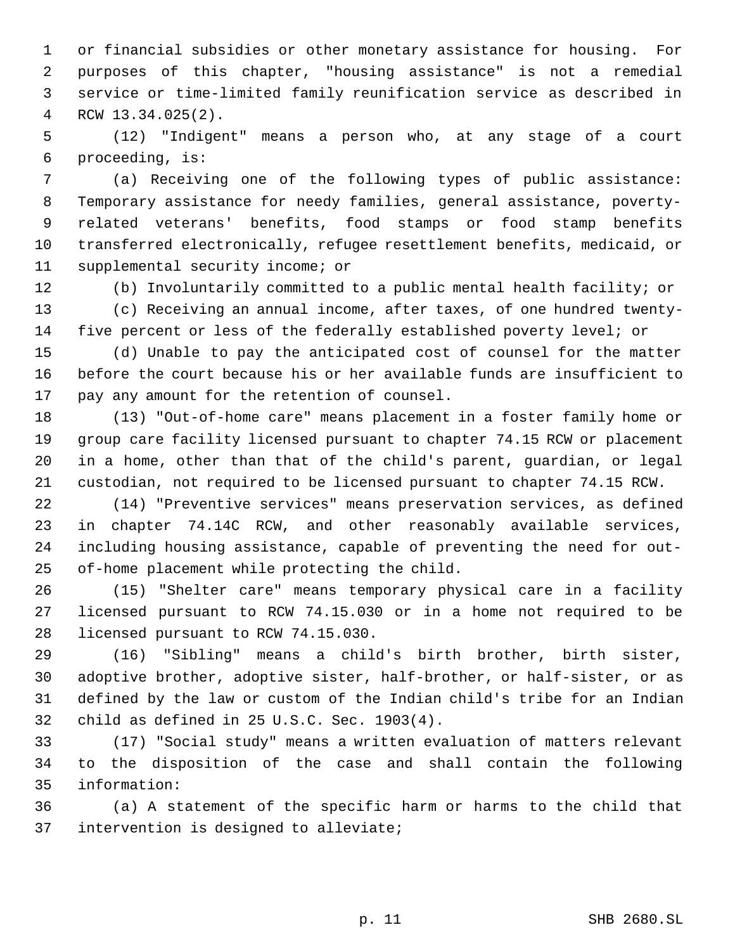or financial subsidies or other monetary assistance for housing. For purposes of this chapter, "housing assistance" is not a remedial service or time-limited family reunification service as described in RCW 13.34.025(2).

 (12) "Indigent" means a person who, at any stage of a court proceeding, is:

 (a) Receiving one of the following types of public assistance: Temporary assistance for needy families, general assistance, poverty- related veterans' benefits, food stamps or food stamp benefits transferred electronically, refugee resettlement benefits, medicaid, or supplemental security income; or

 (b) Involuntarily committed to a public mental health facility; or (c) Receiving an annual income, after taxes, of one hundred twenty-five percent or less of the federally established poverty level; or

 (d) Unable to pay the anticipated cost of counsel for the matter before the court because his or her available funds are insufficient to pay any amount for the retention of counsel.

 (13) "Out-of-home care" means placement in a foster family home or group care facility licensed pursuant to chapter 74.15 RCW or placement in a home, other than that of the child's parent, guardian, or legal custodian, not required to be licensed pursuant to chapter 74.15 RCW.

 (14) "Preventive services" means preservation services, as defined in chapter 74.14C RCW, and other reasonably available services, including housing assistance, capable of preventing the need for out-of-home placement while protecting the child.

 (15) "Shelter care" means temporary physical care in a facility licensed pursuant to RCW 74.15.030 or in a home not required to be licensed pursuant to RCW 74.15.030.

 (16) "Sibling" means a child's birth brother, birth sister, adoptive brother, adoptive sister, half-brother, or half-sister, or as defined by the law or custom of the Indian child's tribe for an Indian child as defined in 25 U.S.C. Sec. 1903(4).

 (17) "Social study" means a written evaluation of matters relevant to the disposition of the case and shall contain the following information:

 (a) A statement of the specific harm or harms to the child that intervention is designed to alleviate;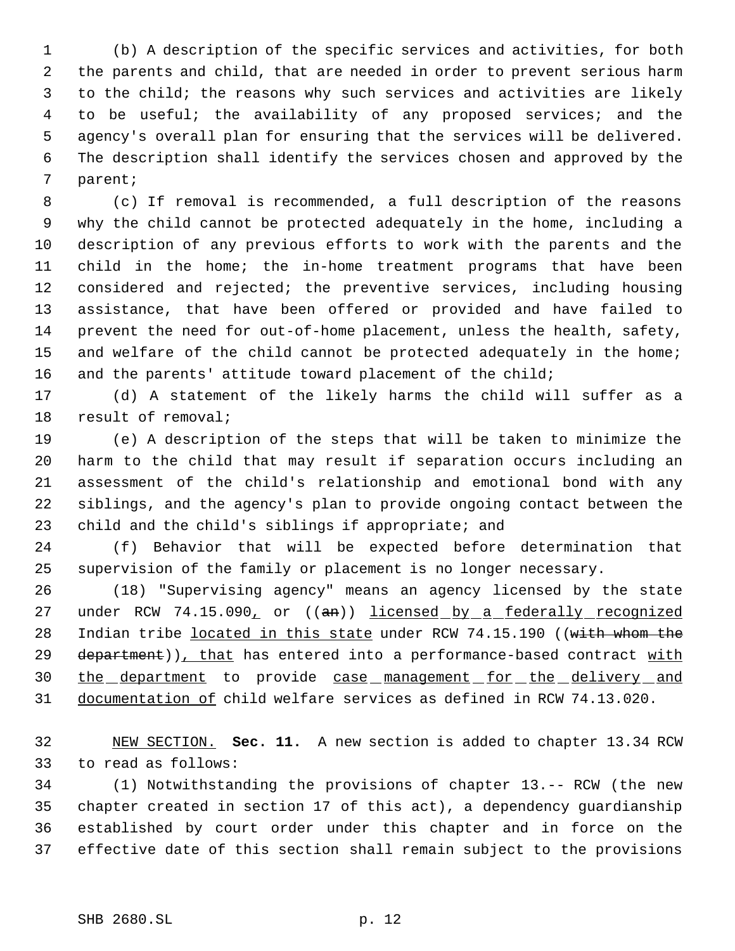(b) A description of the specific services and activities, for both the parents and child, that are needed in order to prevent serious harm to the child; the reasons why such services and activities are likely to be useful; the availability of any proposed services; and the agency's overall plan for ensuring that the services will be delivered. The description shall identify the services chosen and approved by the parent;

 (c) If removal is recommended, a full description of the reasons why the child cannot be protected adequately in the home, including a description of any previous efforts to work with the parents and the child in the home; the in-home treatment programs that have been considered and rejected; the preventive services, including housing assistance, that have been offered or provided and have failed to prevent the need for out-of-home placement, unless the health, safety, 15 and welfare of the child cannot be protected adequately in the home; and the parents' attitude toward placement of the child;

 (d) A statement of the likely harms the child will suffer as a result of removal;

 (e) A description of the steps that will be taken to minimize the harm to the child that may result if separation occurs including an assessment of the child's relationship and emotional bond with any siblings, and the agency's plan to provide ongoing contact between the child and the child's siblings if appropriate; and

 (f) Behavior that will be expected before determination that supervision of the family or placement is no longer necessary.

 (18) "Supervising agency" means an agency licensed by the state 27 under RCW 74.15.090, or ((an)) licensed by a federally recognized 28 Indian tribe located in this state under RCW 74.15.190 ((with whom the 29 department)), that has entered into a performance-based contract with 30 the department to provide case management for the delivery and documentation of child welfare services as defined in RCW 74.13.020.

 NEW SECTION. **Sec. 11.** A new section is added to chapter 13.34 RCW to read as follows:

 (1) Notwithstanding the provisions of chapter 13.-- RCW (the new chapter created in section 17 of this act), a dependency guardianship established by court order under this chapter and in force on the effective date of this section shall remain subject to the provisions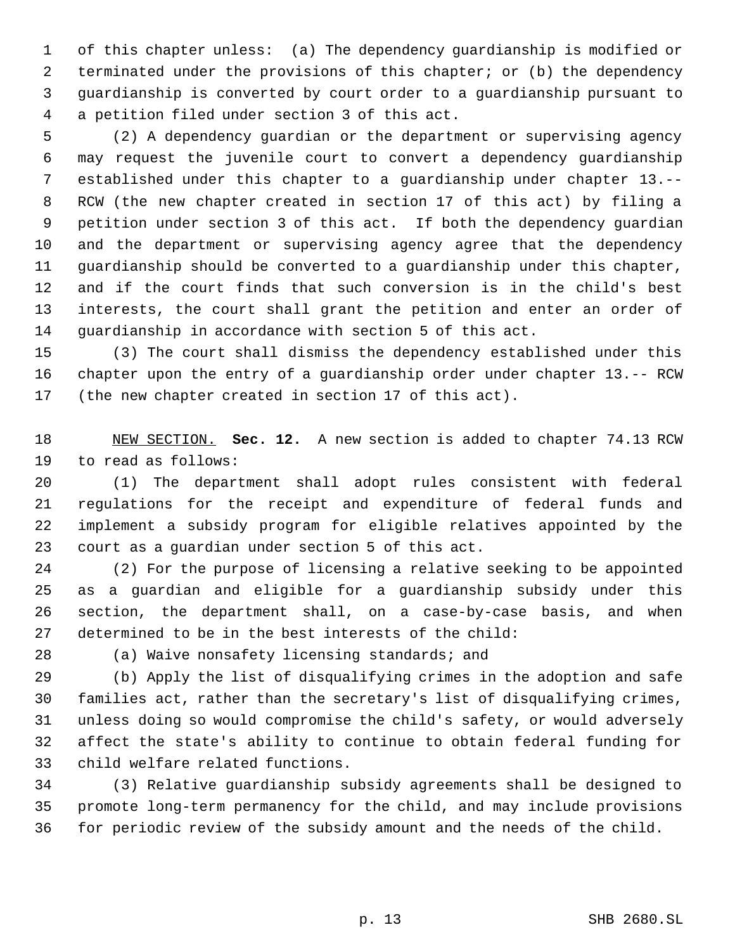of this chapter unless: (a) The dependency guardianship is modified or terminated under the provisions of this chapter; or (b) the dependency guardianship is converted by court order to a guardianship pursuant to a petition filed under section 3 of this act.

 (2) A dependency guardian or the department or supervising agency may request the juvenile court to convert a dependency guardianship established under this chapter to a guardianship under chapter 13.-- RCW (the new chapter created in section 17 of this act) by filing a petition under section 3 of this act. If both the dependency guardian and the department or supervising agency agree that the dependency guardianship should be converted to a guardianship under this chapter, and if the court finds that such conversion is in the child's best interests, the court shall grant the petition and enter an order of guardianship in accordance with section 5 of this act.

 (3) The court shall dismiss the dependency established under this chapter upon the entry of a guardianship order under chapter 13.-- RCW (the new chapter created in section 17 of this act).

 NEW SECTION. **Sec. 12.** A new section is added to chapter 74.13 RCW to read as follows:

 (1) The department shall adopt rules consistent with federal regulations for the receipt and expenditure of federal funds and implement a subsidy program for eligible relatives appointed by the court as a guardian under section 5 of this act.

 (2) For the purpose of licensing a relative seeking to be appointed as a guardian and eligible for a guardianship subsidy under this section, the department shall, on a case-by-case basis, and when determined to be in the best interests of the child:

(a) Waive nonsafety licensing standards; and

 (b) Apply the list of disqualifying crimes in the adoption and safe families act, rather than the secretary's list of disqualifying crimes, unless doing so would compromise the child's safety, or would adversely affect the state's ability to continue to obtain federal funding for child welfare related functions.

 (3) Relative guardianship subsidy agreements shall be designed to promote long-term permanency for the child, and may include provisions for periodic review of the subsidy amount and the needs of the child.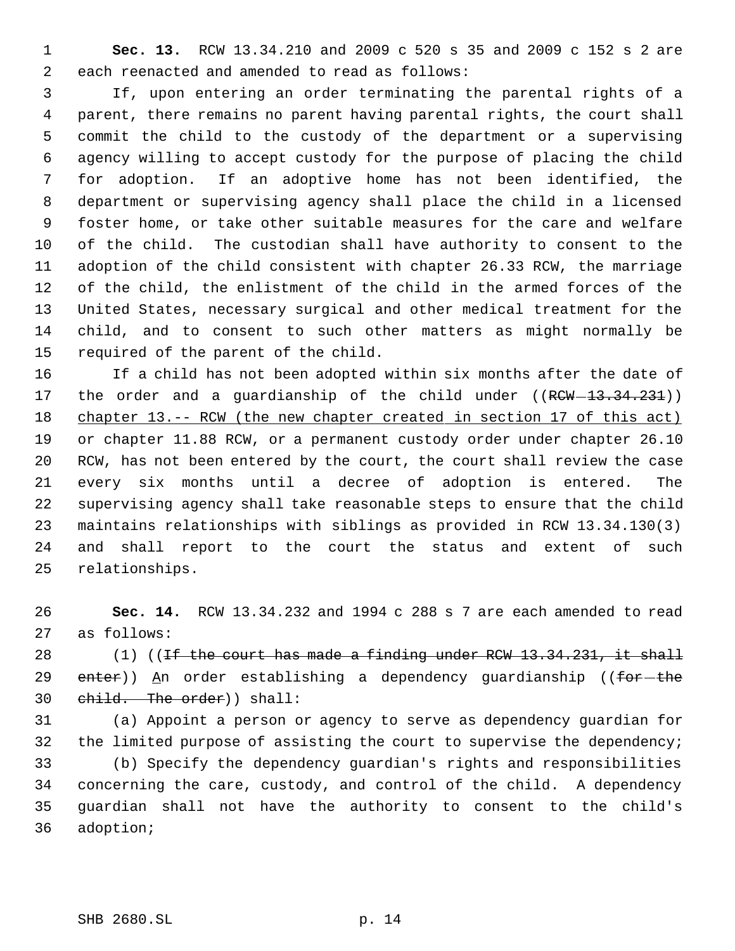**Sec. 13.** RCW 13.34.210 and 2009 c 520 s 35 and 2009 c 152 s 2 are each reenacted and amended to read as follows:

 If, upon entering an order terminating the parental rights of a parent, there remains no parent having parental rights, the court shall commit the child to the custody of the department or a supervising agency willing to accept custody for the purpose of placing the child for adoption. If an adoptive home has not been identified, the department or supervising agency shall place the child in a licensed foster home, or take other suitable measures for the care and welfare of the child. The custodian shall have authority to consent to the adoption of the child consistent with chapter 26.33 RCW, the marriage of the child, the enlistment of the child in the armed forces of the United States, necessary surgical and other medical treatment for the child, and to consent to such other matters as might normally be required of the parent of the child.

 If a child has not been adopted within six months after the date of 17 the order and a guardianship of the child under ((RCW-13.34.231)) chapter 13.-- RCW (the new chapter created in section 17 of this act) or chapter 11.88 RCW, or a permanent custody order under chapter 26.10 RCW, has not been entered by the court, the court shall review the case every six months until a decree of adoption is entered. The supervising agency shall take reasonable steps to ensure that the child maintains relationships with siblings as provided in RCW 13.34.130(3) and shall report to the court the status and extent of such relationships.

 **Sec. 14.** RCW 13.34.232 and 1994 c 288 s 7 are each amended to read as follows:

 $(1)$  ((<del>If the court has made a finding under RCW 13.34.231, it shall</del> 29  $enter)$ ) An order establishing a dependency guardianship ((for-the child. The order)) shall:

 (a) Appoint a person or agency to serve as dependency guardian for 32 the limited purpose of assisting the court to supervise the dependency; (b) Specify the dependency guardian's rights and responsibilities concerning the care, custody, and control of the child. A dependency guardian shall not have the authority to consent to the child's adoption;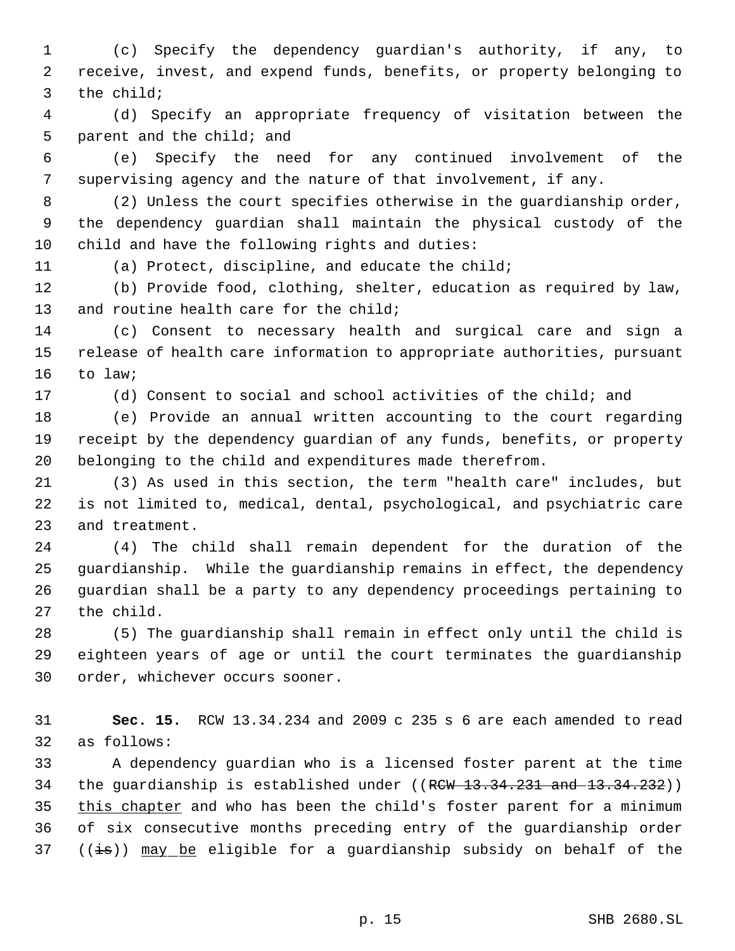(c) Specify the dependency guardian's authority, if any, to receive, invest, and expend funds, benefits, or property belonging to the child;

 (d) Specify an appropriate frequency of visitation between the parent and the child; and

 (e) Specify the need for any continued involvement of the supervising agency and the nature of that involvement, if any.

 (2) Unless the court specifies otherwise in the guardianship order, the dependency guardian shall maintain the physical custody of the child and have the following rights and duties:

(a) Protect, discipline, and educate the child;

 (b) Provide food, clothing, shelter, education as required by law, 13 and routine health care for the child;

 (c) Consent to necessary health and surgical care and sign a release of health care information to appropriate authorities, pursuant to law;

(d) Consent to social and school activities of the child; and

 (e) Provide an annual written accounting to the court regarding receipt by the dependency guardian of any funds, benefits, or property belonging to the child and expenditures made therefrom.

 (3) As used in this section, the term "health care" includes, but is not limited to, medical, dental, psychological, and psychiatric care and treatment.

 (4) The child shall remain dependent for the duration of the guardianship. While the guardianship remains in effect, the dependency guardian shall be a party to any dependency proceedings pertaining to the child.

 (5) The guardianship shall remain in effect only until the child is eighteen years of age or until the court terminates the guardianship order, whichever occurs sooner.

 **Sec. 15.** RCW 13.34.234 and 2009 c 235 s 6 are each amended to read as follows:

 A dependency guardian who is a licensed foster parent at the time 34 the guardianship is established under ((RCW 13.34.231 and 13.34.232)) this chapter and who has been the child's foster parent for a minimum of six consecutive months preceding entry of the guardianship order 37 ( $(\pm s)$ ) may be eligible for a guardianship subsidy on behalf of the